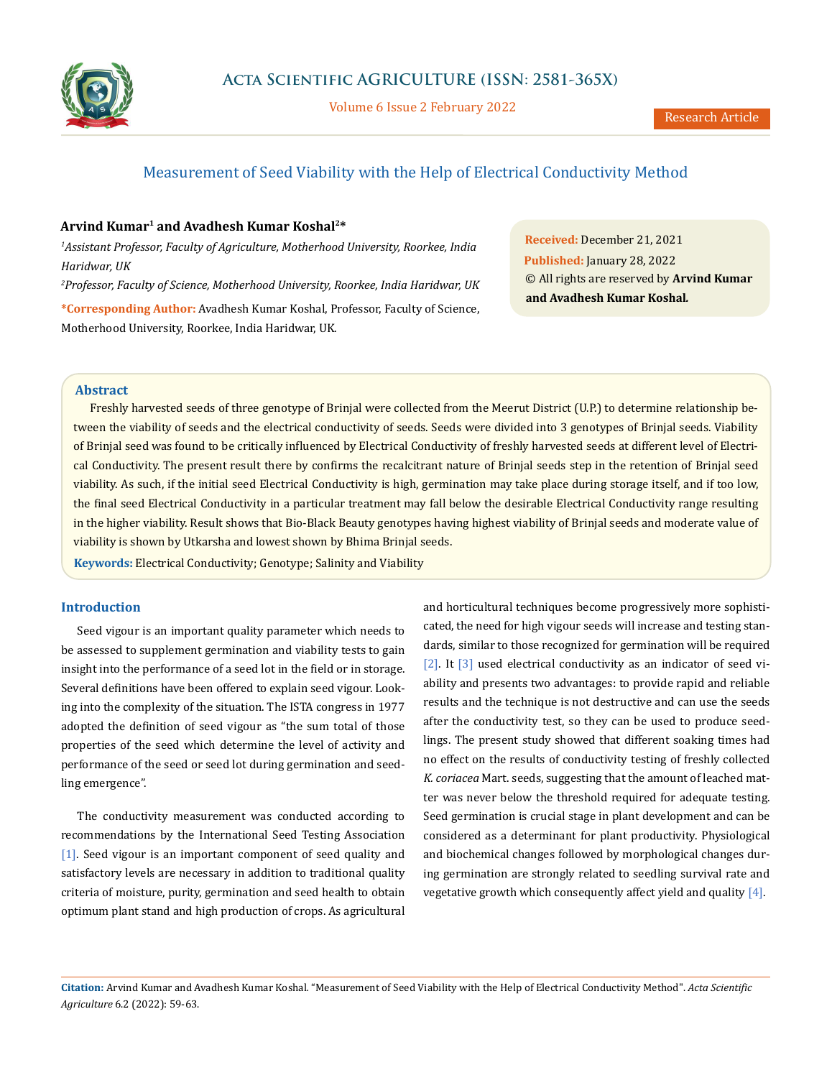

Volume 6 Issue 2 February 2022

# Measurement of Seed Viability with the Help of Electrical Conductivity Method

### **Arvind Kumar1 and Avadhesh Kumar Koshal2\***

*1 Assistant Professor, Faculty of Agriculture, Motherhood University, Roorkee, India Haridwar, UK 2 Professor, Faculty of Science, Motherhood University, Roorkee, India Haridwar, UK*

**\*Corresponding Author:** Avadhesh Kumar Koshal, Professor, Faculty of Science, Motherhood University, Roorkee, India Haridwar, UK.

**Received:** December 21, 2021 **Published:** January 28, 2022 © All rights are reserved by **Arvind Kumar and Avadhesh Kumar Koshal***.*

### **Abstract**

Freshly harvested seeds of three genotype of Brinjal were collected from the Meerut District (U.P.) to determine relationship between the viability of seeds and the electrical conductivity of seeds. Seeds were divided into 3 genotypes of Brinjal seeds. Viability of Brinjal seed was found to be critically influenced by Electrical Conductivity of freshly harvested seeds at different level of Electrical Conductivity. The present result there by confirms the recalcitrant nature of Brinjal seeds step in the retention of Brinjal seed viability. As such, if the initial seed Electrical Conductivity is high, germination may take place during storage itself, and if too low, the final seed Electrical Conductivity in a particular treatment may fall below the desirable Electrical Conductivity range resulting in the higher viability. Result shows that Bio-Black Beauty genotypes having highest viability of Brinjal seeds and moderate value of viability is shown by Utkarsha and lowest shown by Bhima Brinjal seeds.

**Keywords:** Electrical Conductivity; Genotype; Salinity and Viability

#### **Introduction**

Seed vigour is an important quality parameter which needs to be assessed to supplement germination and viability tests to gain insight into the performance of a seed lot in the field or in storage. Several definitions have been offered to explain seed vigour. Looking into the complexity of the situation. The ISTA congress in 1977 adopted the definition of seed vigour as "the sum total of those properties of the seed which determine the level of activity and performance of the seed or seed lot during germination and seedling emergence".

The conductivity measurement was conducted according to recommendations by the International Seed Testing Association [1]. Seed vigour is an important component of seed quality and satisfactory levels are necessary in addition to traditional quality criteria of moisture, purity, germination and seed health to obtain optimum plant stand and high production of crops. As agricultural

and horticultural techniques become progressively more sophisticated, the need for high vigour seeds will increase and testing standards, similar to those recognized for germination will be required [2]. It [3] used electrical conductivity as an indicator of seed viability and presents two advantages: to provide rapid and reliable results and the technique is not destructive and can use the seeds after the conductivity test, so they can be used to produce seedlings. The present study showed that different soaking times had no effect on the results of conductivity testing of freshly collected *K. coriacea* Mart. seeds, suggesting that the amount of leached matter was never below the threshold required for adequate testing. Seed germination is crucial stage in plant development and can be considered as a determinant for plant productivity. Physiological and biochemical changes followed by morphological changes during germination are strongly related to seedling survival rate and vegetative growth which consequently affect yield and quality  $[4]$ .

**Citation:** Arvind Kumar and Avadhesh Kumar Koshal*.* "Measurement of Seed Viability with the Help of Electrical Conductivity Method". *Acta Scientific Agriculture* 6.2 (2022): 59-63.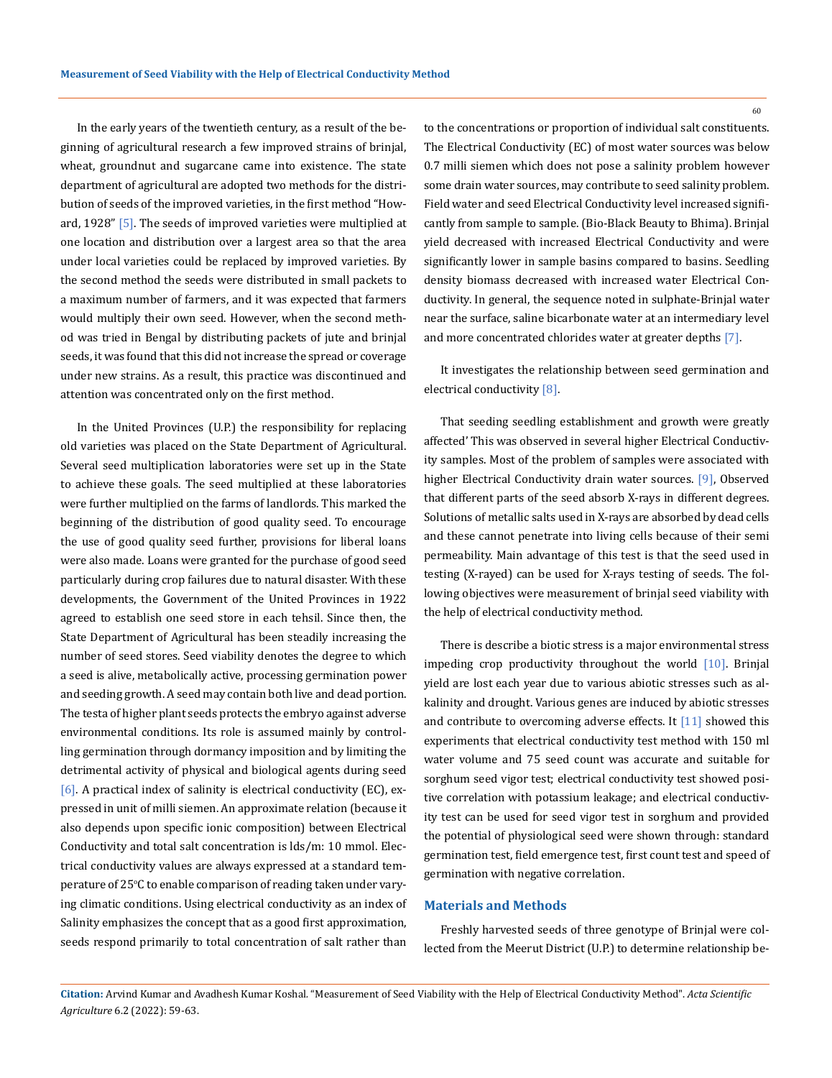In the early years of the twentieth century, as a result of the beginning of agricultural research a few improved strains of brinjal, wheat, groundnut and sugarcane came into existence. The state department of agricultural are adopted two methods for the distribution of seeds of the improved varieties, in the first method "Howard, 1928" [5]. The seeds of improved varieties were multiplied at one location and distribution over a largest area so that the area under local varieties could be replaced by improved varieties. By the second method the seeds were distributed in small packets to a maximum number of farmers, and it was expected that farmers would multiply their own seed. However, when the second method was tried in Bengal by distributing packets of jute and brinjal seeds, it was found that this did not increase the spread or coverage under new strains. As a result, this practice was discontinued and attention was concentrated only on the first method.

In the United Provinces (U.P.) the responsibility for replacing old varieties was placed on the State Department of Agricultural. Several seed multiplication laboratories were set up in the State to achieve these goals. The seed multiplied at these laboratories were further multiplied on the farms of landlords. This marked the beginning of the distribution of good quality seed. To encourage the use of good quality seed further, provisions for liberal loans were also made. Loans were granted for the purchase of good seed particularly during crop failures due to natural disaster. With these developments, the Government of the United Provinces in 1922 agreed to establish one seed store in each tehsil. Since then, the State Department of Agricultural has been steadily increasing the number of seed stores. Seed viability denotes the degree to which a seed is alive, metabolically active, processing germination power and seeding growth. A seed may contain both live and dead portion. The testa of higher plant seeds protects the embryo against adverse environmental conditions. Its role is assumed mainly by controlling germination through dormancy imposition and by limiting the detrimental activity of physical and biological agents during seed  $[6]$ . A practical index of salinity is electrical conductivity (EC), expressed in unit of milli siemen. An approximate relation (because it also depends upon specific ionic composition) between Electrical Conductivity and total salt concentration is lds/m: 10 mmol. Electrical conductivity values are always expressed at a standard temperature of 25°C to enable comparison of reading taken under varying climatic conditions. Using electrical conductivity as an index of Salinity emphasizes the concept that as a good first approximation, seeds respond primarily to total concentration of salt rather than

to the concentrations or proportion of individual salt constituents. The Electrical Conductivity (EC) of most water sources was below 0.7 milli siemen which does not pose a salinity problem however some drain water sources, may contribute to seed salinity problem. Field water and seed Electrical Conductivity level increased significantly from sample to sample. (Bio-Black Beauty to Bhima). Brinjal yield decreased with increased Electrical Conductivity and were significantly lower in sample basins compared to basins. Seedling density biomass decreased with increased water Electrical Conductivity. In general, the sequence noted in sulphate-Brinjal water near the surface, saline bicarbonate water at an intermediary level and more concentrated chlorides water at greater depths [7].

It investigates the relationship between seed germination and electrical conductivity [8].

That seeding seedling establishment and growth were greatly affected' This was observed in several higher Electrical Conductivity samples. Most of the problem of samples were associated with higher Electrical Conductivity drain water sources. [9], Observed that different parts of the seed absorb X-rays in different degrees. Solutions of metallic salts used in X-rays are absorbed by dead cells and these cannot penetrate into living cells because of their semi permeability. Main advantage of this test is that the seed used in testing (X-rayed) can be used for X-rays testing of seeds. The following objectives were measurement of brinjal seed viability with the help of electrical conductivity method.

There is describe a biotic stress is a major environmental stress impeding crop productivity throughout the world  $[10]$ . Brinjal yield are lost each year due to various abiotic stresses such as alkalinity and drought. Various genes are induced by abiotic stresses and contribute to overcoming adverse effects. It  $[11]$  showed this experiments that electrical conductivity test method with 150 ml water volume and 75 seed count was accurate and suitable for sorghum seed vigor test; electrical conductivity test showed positive correlation with potassium leakage; and electrical conductivity test can be used for seed vigor test in sorghum and provided the potential of physiological seed were shown through: standard germination test, field emergence test, first count test and speed of germination with negative correlation.

### **Materials and Methods**

Freshly harvested seeds of three genotype of Brinjal were collected from the Meerut District (U.P.) to determine relationship be-

60

**Citation:** Arvind Kumar and Avadhesh Kumar Koshal*.* "Measurement of Seed Viability with the Help of Electrical Conductivity Method". *Acta Scientific Agriculture* 6.2 (2022): 59-63.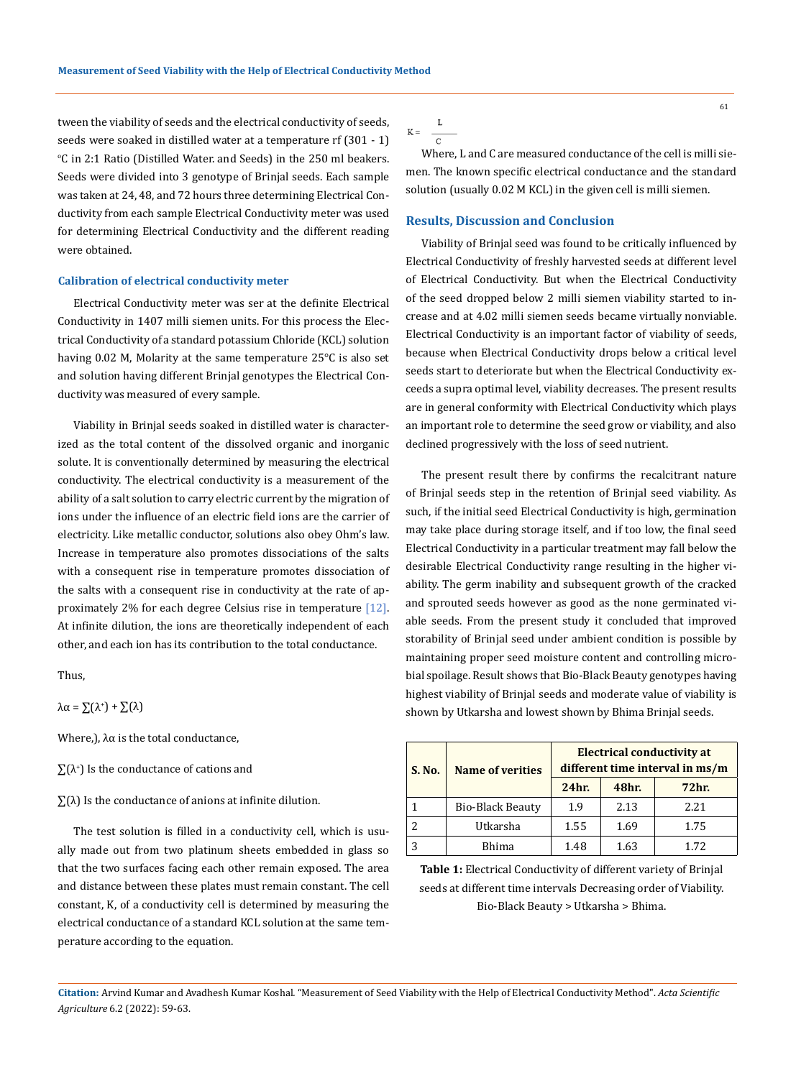tween the viability of seeds and the electrical conductivity of seeds, seeds were soaked in distilled water at a temperature rf (301 - 1) o C in 2:1 Ratio (Distilled Water. and Seeds) in the 250 ml beakers. Seeds were divided into 3 genotype of Brinjal seeds. Each sample was taken at 24, 48, and 72 hours three determining Electrical Conductivity from each sample Electrical Conductivity meter was used for determining Electrical Conductivity and the different reading were obtained.

#### **Calibration of electrical conductivity meter**

Electrical Conductivity meter was ser at the definite Electrical Conductivity in 1407 milli siemen units. For this process the Electrical Conductivity of a standard potassium Chloride (KCL) solution having 0.02 M, Molarity at the same temperature 25°C is also set and solution having different Brinjal genotypes the Electrical Conductivity was measured of every sample.

Viability in Brinjal seeds soaked in distilled water is characterized as the total content of the dissolved organic and inorganic solute. It is conventionally determined by measuring the electrical conductivity. The electrical conductivity is a measurement of the ability of a salt solution to carry electric current by the migration of ions under the influence of an electric field ions are the carrier of electricity. Like metallic conductor, solutions also obey Ohm's law. Increase in temperature also promotes dissociations of the salts with a consequent rise in temperature promotes dissociation of the salts with a consequent rise in conductivity at the rate of approximately 2% for each degree Celsius rise in temperature [12]. At infinite dilution, the ions are theoretically independent of each other, and each ion has its contribution to the total conductance.

Thus,

 $\lambda \alpha = \sum (\lambda^*) + \sum (\lambda)$ 

Where,  $\}$ , λα is the total conductance,

- ∑(λ<sup>+</sup> ) Is the conductance of cations and
- $\Sigma(\lambda)$  Is the conductance of anions at infinite dilution.

The test solution is filled in a conductivity cell, which is usually made out from two platinum sheets embedded in glass so that the two surfaces facing each other remain exposed. The area and distance between these plates must remain constant. The cell constant, K, of a conductivity cell is determined by measuring the electrical conductance of a standard KCL solution at the same temperature according to the equation.

 $\mathbf{K} = \begin{array}{cc} & \mathbf{L} \\ & \mathbf{C} \end{array}$ 

Where, L and C are measured conductance of the cell is milli siemen. The known specific electrical conductance and the standard solution (usually 0.02 M KCL) in the given cell is milli siemen.

#### **Results, Discussion and Conclusion**

Viability of Brinjal seed was found to be critically influenced by Electrical Conductivity of freshly harvested seeds at different level of Electrical Conductivity. But when the Electrical Conductivity of the seed dropped below 2 milli siemen viability started to increase and at 4.02 milli siemen seeds became virtually nonviable. Electrical Conductivity is an important factor of viability of seeds, because when Electrical Conductivity drops below a critical level seeds start to deteriorate but when the Electrical Conductivity exceeds a supra optimal level, viability decreases. The present results are in general conformity with Electrical Conductivity which plays an important role to determine the seed grow or viability, and also declined progressively with the loss of seed nutrient.

The present result there by confirms the recalcitrant nature of Brinjal seeds step in the retention of Brinjal seed viability. As such, if the initial seed Electrical Conductivity is high, germination may take place during storage itself, and if too low, the final seed Electrical Conductivity in a particular treatment may fall below the desirable Electrical Conductivity range resulting in the higher viability. The germ inability and subsequent growth of the cracked and sprouted seeds however as good as the none germinated viable seeds. From the present study it concluded that improved storability of Brinjal seed under ambient condition is possible by maintaining proper seed moisture content and controlling microbial spoilage. Result shows that Bio-Black Beauty genotypes having highest viability of Brinjal seeds and moderate value of viability is shown by Utkarsha and lowest shown by Bhima Brinjal seeds.

| S. No. | <b>Name of verities</b> | <b>Electrical conductivity at</b><br>different time interval in ms/m |       |       |
|--------|-------------------------|----------------------------------------------------------------------|-------|-------|
|        |                         | 24 <sub>hr.</sub>                                                    | 48hr. | 72hr. |
|        | Bio-Black Beauty        | 1.9                                                                  | 2.13  | 2.21  |
| 2      | Utkarsha                | 1.55                                                                 | 1.69  | 1.75  |
|        | <b>Bhima</b>            | 1.48                                                                 | 1.63  | 1.72  |

**Table 1:** Electrical Conductivity of different variety of Brinjal seeds at different time intervals Decreasing order of Viability. Bio-Black Beauty > Utkarsha > Bhima.

**Citation:** Arvind Kumar and Avadhesh Kumar Koshal*.* "Measurement of Seed Viability with the Help of Electrical Conductivity Method". *Acta Scientific Agriculture* 6.2 (2022): 59-63.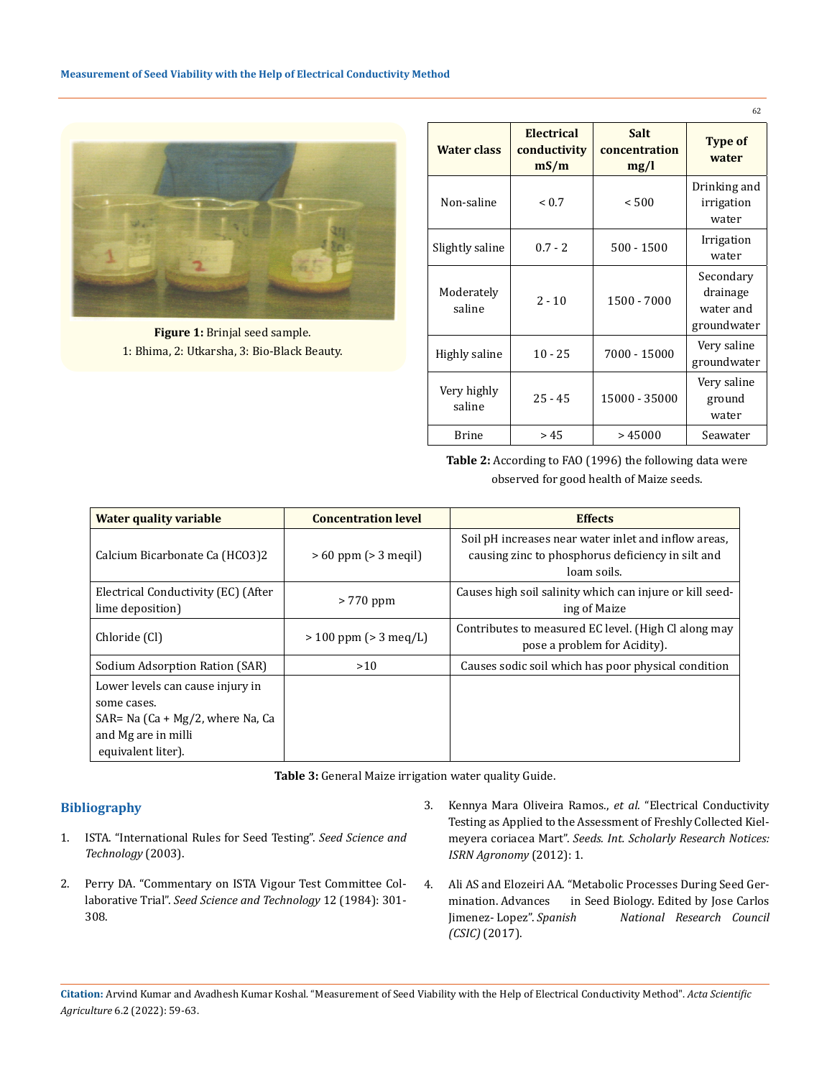

**Figure 1:** Brinjal seed sample. 1: Bhima, 2: Utkarsha, 3: Bio-Black Beauty.

|                       |                                             |                                      | 62                                                |
|-----------------------|---------------------------------------------|--------------------------------------|---------------------------------------------------|
| <b>Water class</b>    | Electrical<br>conductivity<br>$\text{mS/m}$ | <b>Salt</b><br>concentration<br>mg/l | <b>Type of</b><br>water                           |
| Non-saline            | < 0.7                                       | < 500                                | Drinking and<br>irrigation<br>water               |
| Slightly saline       | $0.7 - 2$                                   | $500 - 1500$                         | Irrigation<br>water                               |
| Moderately<br>saline  | $2 - 10$                                    | 1500 - 7000                          | Secondary<br>drainage<br>water and<br>groundwater |
| Highly saline         | $10 - 25$                                   | 7000 - 15000                         | Very saline<br>groundwater                        |
| Very highly<br>saline | $25 - 45$                                   | 15000 - 35000                        | Very saline<br>ground<br>water                    |
| <b>Brine</b>          | >45                                         | >45000                               | Seawater                                          |

**Table 2:** According to FAO (1996) the following data were observed for good health of Maize seeds.

| <b>Water quality variable</b>                                                                                                    | <b>Concentration level</b> | <b>Effects</b>                                                                                                           |
|----------------------------------------------------------------------------------------------------------------------------------|----------------------------|--------------------------------------------------------------------------------------------------------------------------|
| Calcium Bicarbonate Ca (HCO3)2                                                                                                   | $>60$ ppm ( $>3$ megil)    | Soil pH increases near water inlet and inflow areas,<br>causing zinc to phosphorus deficiency in silt and<br>loam soils. |
| Electrical Conductivity (EC) (After<br>lime deposition)                                                                          | > 770 ppm                  | Causes high soil salinity which can injure or kill seed-<br>ing of Maize                                                 |
| Chloride (Cl)                                                                                                                    | $> 100$ ppm ( $> 3$ meg/L) | Contributes to measured EC level. (High Cl along may<br>pose a problem for Acidity).                                     |
| Sodium Adsorption Ration (SAR)                                                                                                   | >10                        | Causes sodic soil which has poor physical condition                                                                      |
| Lower levels can cause injury in<br>some cases.<br>SAR= Na (Ca + Mg/2, where Na, Ca<br>and Mg are in milli<br>equivalent liter). |                            |                                                                                                                          |

**Table 3:** General Maize irrigation water quality Guide.

## **Bibliography**

- 1. [ISTA. "International Rules for Seed Testing".](https://www.seedtest.org/en/international-rules-for-seed-testing-_content---1--1083.html) *Seed Science and [Technology](https://www.seedtest.org/en/international-rules-for-seed-testing-_content---1--1083.html)* (2003).
- 2. Perry DA. "Commentary on ISTA Vigour Test Committee Collaborative Trial". *Seed Science and Technology* 12 (1984): 301- 308.
- 3. [Kennya Mara Oliveira Ramos.,](https://www.hindawi.com/journals/isrn/2012/378139/) *et al.* "Electrical Conductivity [Testing as Applied to the Assessment of Freshly Collected Kiel](https://www.hindawi.com/journals/isrn/2012/378139/)meyera coriacea Mart". *[Seeds. Int. Scholarly Research Notices:](https://www.hindawi.com/journals/isrn/2012/378139/)  [ISRN Agronomy](https://www.hindawi.com/journals/isrn/2012/378139/)* (2012): 1.
- 4. [Ali AS and Elozeiri AA. "Metabolic Processes During Seed Ger](https://www.intechopen.com/chapters/56975)[mination. Advances in Seed Biology. Edited by Jose Carlos](https://www.intechopen.com/chapters/56975)  Jimenez- Lopez". *[Spanish National Research Council](https://www.intechopen.com/chapters/56975)  (CSIC)* [\(2017\).](https://www.intechopen.com/chapters/56975)

**Citation:** Arvind Kumar and Avadhesh Kumar Koshal*.* "Measurement of Seed Viability with the Help of Electrical Conductivity Method". *Acta Scientific Agriculture* 6.2 (2022): 59-63.